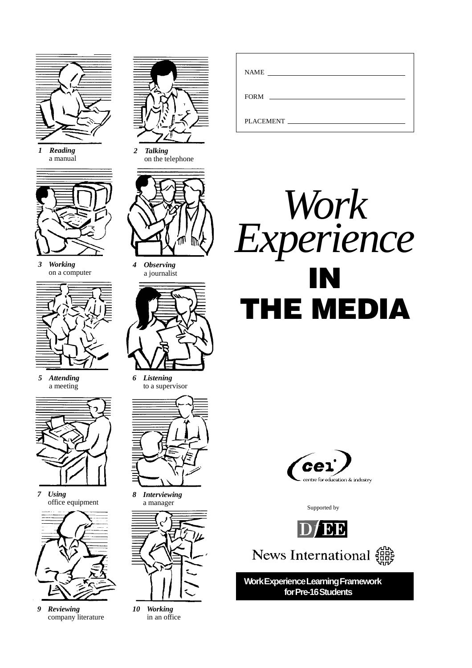

*1 Reading* a manual



*3 Working* on a computer



*5 Attending* a meeting



*7 Using* office equipment



*9 Reviewing* company literature



*2 Talking* on the telephone



*4 Observing* a journalist



*6 Listening* to a supervisor



*8 Interviewing* a manager



*10 Working* in an office

| NAME<br><u> 1980 - Jan Stein, Amerikaansk politiker (</u> |
|-----------------------------------------------------------|
| FORM FORM                                                 |
| PLACEMENT FILADE                                          |





Supported by



News International  $\begin{matrix} 606 \\ 607 \end{matrix}$ 

**Work Experience Learning Framework for Pre-16 Students**